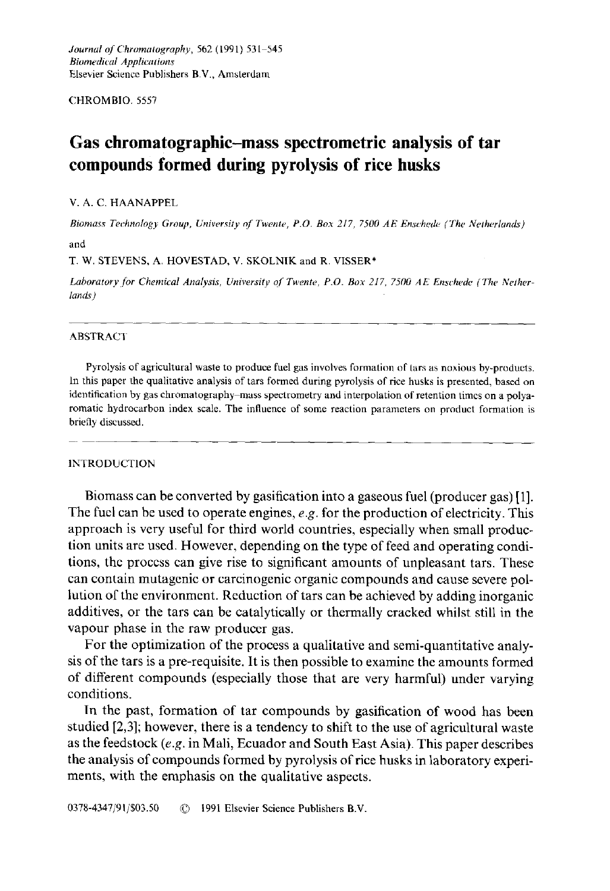CHROMBIO. 5557

# **Gas chromatographic-mass spectrometric analysis of tar compounds formed during pyrolysis of rice husks**

#### V. A. C. HAANAPPEL

*Biomass Technology Group, University of Twente, P.O. Box 217, 7500 AE Enschede (The Netherlands')*  **and** 

T. W. STEVENS, A. HOVESTAD, V. SKOLNIK and R. VISSER\*

Laboratory for Chemical Analysis, University of Twente, P.O. Box 217, 7500 AE Enschede (The Nether*lands)* 

### ABSTRACT

**Pyrolysis of agricultural waste to produce fuel gas involves formation of tars as noxious by-products. In this paper the qualitative analysis of tars formed during pyrolysis of rice husks is presented, based on identification by gas chromatography-mass spectrometry and interpolation of retention times on a polyaromatic hydrocarbon index scale. The influence of some reaction parameters on product formation is briefly discussed.** 

#### INTRODUCTION

**Biomass can be converted by gasification into a gaseous fuel (producer gas) [1]. The fuel can be used to operate engines,** *e.g.* **for the production of electricity. This approach is very useful for third world countries, especially when small production units are used. However, depending on the type of feed and operating conditions, the process can give rise to significant amounts of unpleasant tars. These can contain mutagenic or carcinogenic organic compounds and cause severe pollution of the environment. Reduction of tars can be achieved by adding inorganic additives, or the tars can be catalytically or thermally cracked whilst still in the vapour phase in the raw producer gas.** 

**For the optimization of the process a qualitative and semi-quantitative analysis of the tars is a pre-requisite. It is then possible to examine the amounts formed of different compounds (especially those that are very harmful) under varying conditions.** 

**In the past, formation of tar compounds by gasification of wood has been studied [2,3]; however, there is a tendency to shift to the use of agricultural waste as the feedstock** *(e.g.* **in Mali, Ecuador and South East Asia). This paper describes the analysis of compounds formed by pyrolysis of rice husks in laboratory experiments, with the emphasis on the qualitative aspects.**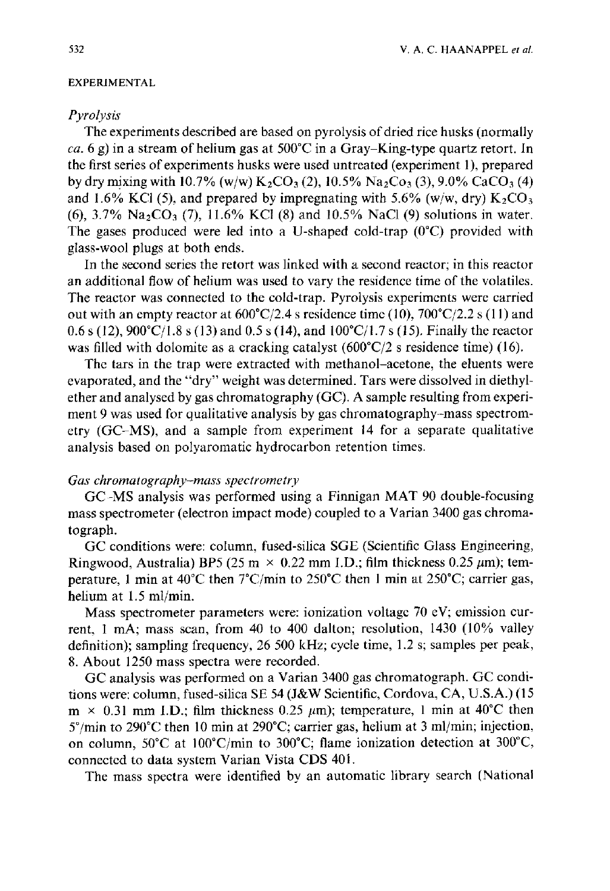#### EXPERIMENTAL

## *Pyrolysis*

The experiments described are based on pyrolysis of dried rice husks (normally *ca.* 6 g) in a stream of helium gas at  $500^{\circ}$ C in a Gray-King-type quartz retort. In the first series of experiments husks were used untreated (experiment 1), prepared by dry mixing with 10.7% (w/w) K<sub>2</sub>CO<sub>3</sub> (2), 10.5% Na<sub>2</sub>Co<sub>3</sub> (3), 9.0% CaCO<sub>3</sub> (4) and 1.6% KCl (5), and prepared by impregnating with 5.6% (w/w, dry)  $K_2CO_3$ (6),  $3.7\%$  Na<sub>2</sub>CO<sub>3</sub> (7), 11.6% KCl (8) and 10.5% NaCl (9) solutions in water. The gases produced were led into a U-shaped cold-trap  $(0^{\circ}C)$  provided with glass-wool plugs at both ends.

In the second series the retort was linked with a second reactor; in this reactor an additional flow of helium was used to vary the residence time of the volatiles. The reactor was connected to the cold-trap. Pyrolysis experiments were carried out with an empty reactor at  $600^{\circ}C/2.4$  s residence time (10),  $700^{\circ}C/2.2$  s (11) and 0.6 s (12),  $900^{\circ}$ C/1.8 s (13) and 0.5 s (14), and  $100^{\circ}$ C/1.7 s (15). Finally the reactor was filled with dolomite as a cracking catalyst  $(600^{\circ}C/2 \text{ s} \text{ residence time})$  (16).

The tars in the trap were extracted with methanol-acetone, the eluents were evaporated, and the "dry" weight was determined. Tars were dissolved in diethylether and analysed by gas chromatography (GC). A sample resulting from experiment 9 was used for qualitative analysis by gas chromatography-mass spectrometry (GC-MS), and a sample from experiment 14 for a separate qualitative analysis based on polyaromatic hydrocarbon retention times.

## *Gas chromatography-mass spectrometry*

GC-MS analysis was performed using a Finnigan MAT 90 double-focusing mass spectrometer (electron impact mode) coupled to a Varian 3400 gas chromatograph.

GC conditions were: column, fused-silica SGE (Scientific Glass Engineering, Ringwood, Australia) BP5 (25 m  $\times$  0.22 mm I.D.; film thickness 0.25  $\mu$ m); temperature, l min at 40°C then 7°C/min to 250°C then 1 min at 250°C; carrier gas, helium at 1.5 ml/min.

Mass spectrometer parameters were: ionization voltage 70 eV; emission current, 1 mA; mass scan, from 40 to 400 dalton; resolution, 1430 (10% valley definition); sampling frequency, 26 500 kHz; cycle time, 1.2 s; samples per peak, 8. About 1250 mass spectra were recorded.

GC analysis was performed on a Varian 3400 gas chromatograph. GC conditions were: column, fused-silica SE 54 (J&W Scientific, Cordova, CA, U.S.A.) (15  $m \times 0.31$  mm I.D.; film thickness 0.25  $\mu$ m); temperature, 1 min at 40°C then  $5^{\circ}$ /min to 290 $^{\circ}$ C then 10 min at 290 $^{\circ}$ C; carrier gas, helium at 3 ml/min; injection, on column,  $50^{\circ}$ C at  $100^{\circ}$ C/min to  $300^{\circ}$ C; flame ionization detection at  $300^{\circ}$ C, connected to data system Varian Vista CDS 401.

The mass spectra were identified by an automatic library search (National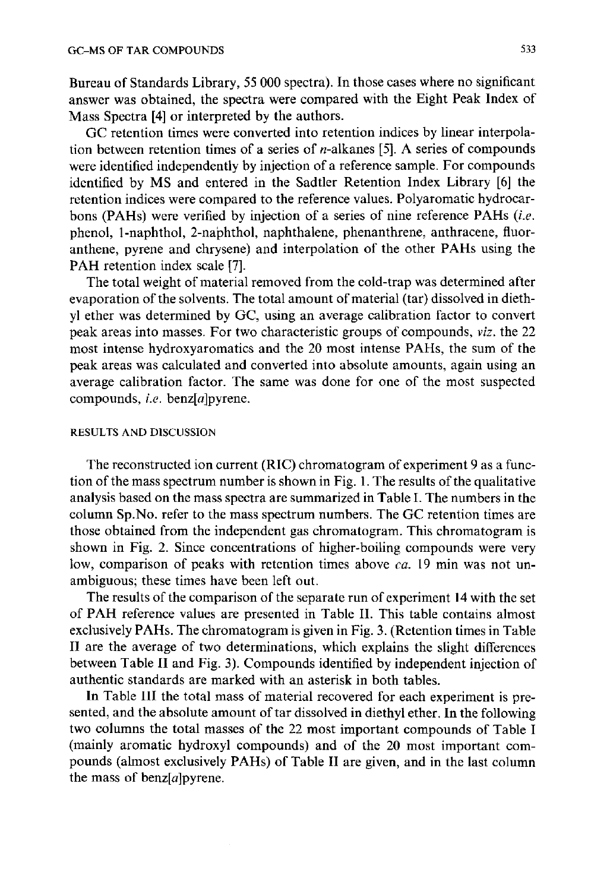Bureau of Standards Library, 55 000 spectra). In those cases where no significant answer was obtained, the spectra were compared with the Eight Peak Index of Mass Spectra [4] or interpreted by the authors.

GC retention times were converted into retention indices by linear interpolation between retention times of a series of  $n$ -alkanes [5]. A series of compounds were identified independently by injection of a reference sample. For compounds identified by MS and entered in the Sadtler Retention Index Library [6] the retention indices were compared to the reference values. Polyaromatic hydrocarbons (PAHs) were verified by injection of a series of nine reference PAHs *(i.e.*  phenol, 1-naphthol, 2-naphthol, naphthalene, phenanthrene, anthracene, fluoranthene, pyrene and chrysene) and interpolation of the other PAHs using the PAH retention index scale [7].

The total weight of material removed from the cold-trap was determined after evaporation of the solvents. The total amount of material (tar) dissolved in diethyl ether was determined by GC, using an average calibration factor to convert peak areas into masses. For two characteristic groups of compounds, *viz.* the 22 most intense hydroxyaromatics and the 20 most intense PAHs, the sum of the peak areas was calculated and converted into absolute amounts, again using an average calibration factor. The same was done for one of the most suspected compounds, *i.e.* benz[a]pyrene.

### RESULTS AND DISCUSSION

The reconstructed ion current (RIC) chromatogram of experiment 9 as a function of the mass spectrum number is shown in Fig. 1. The results of the qualitative analysis based on the mass spectra are summarized in Table I. The numbers in the column Sp.No. refer to the mass spectrum numbers. The GC retention times are those obtained from the independent gas chromatogram. This chromatogram is shown in Fig. 2. Since concentrations of higher-boiling compounds were very low, comparison of peaks with retention times above *ca.* 19 min was not unambiguous; these times have been left out.

The results of the comparison of the separate run of experiment 14 with the set of PAH reference values are presented in Table II. This table contains almost exclusively PAHs. The chromatogram is given in Fig. 3. (Retention times in Table II are the average of two determinations, which explains the slight differences between Table II and Fig. 3). Compounds identified by independent injection of authentic standards are marked with an asterisk in both tables.

In Table III the total mass of material recovered for each experiment is presented, and the absolute amount of tar dissolved in diethyl ether. In the following two columns the total masses of the 22 most important compounds of Table I (mainly aromatic hydroxyl compounds) and of the 20 most important compounds (almost exclusively PAHs) of Table II are given, and in the last column the mass of benz $[a]$ pyrene.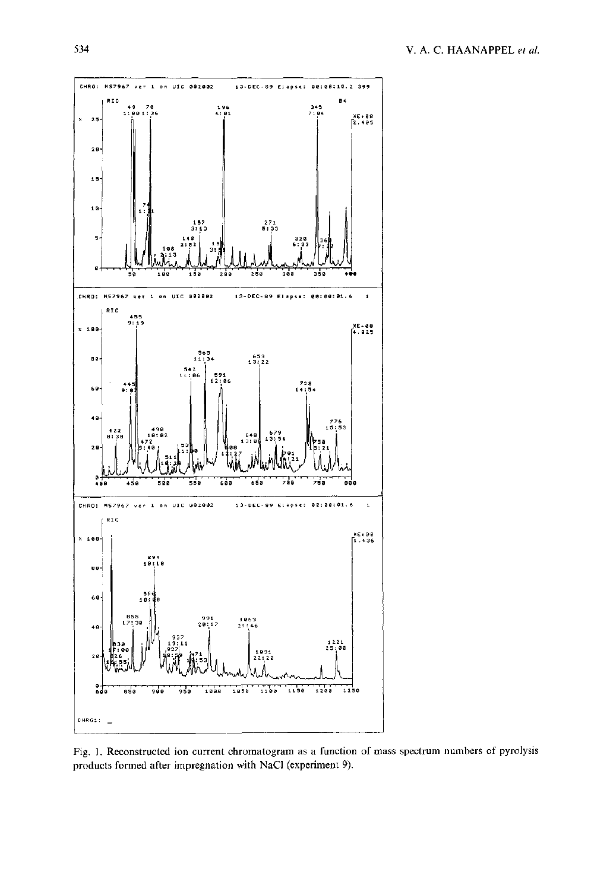

Fig. 1. Reconstructed ion current chromatogram as a function of mass spectrum numbers of pyrolysis products formed after impregnation with NaCl (experiment 9).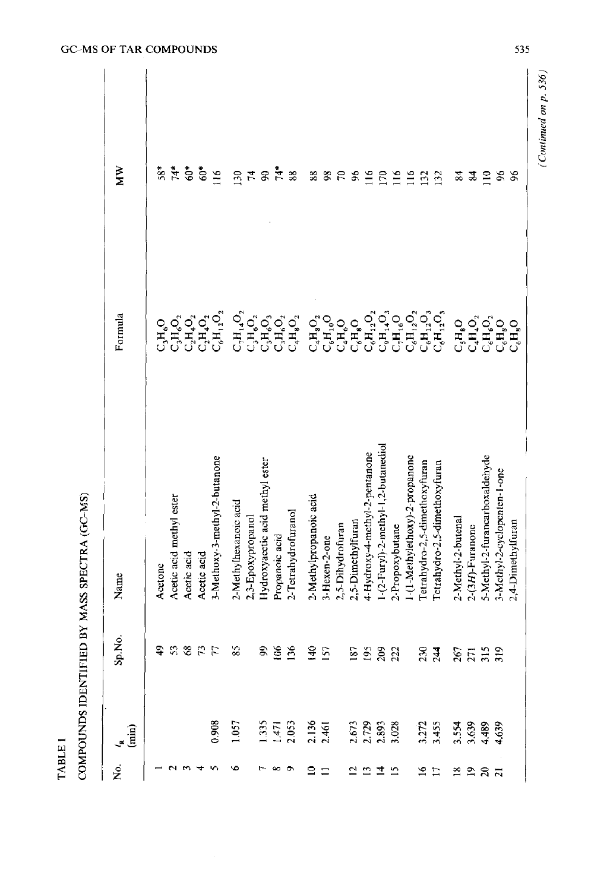COMPOUNDS IDENTIFIED BY MASS SPECTRA (GC-MS) COMPOUNDS IDENTIFIED BY MASS SPECTRA (GC-MS)

| Σò.             | $\mathbf{f}_{\mathbf{m}}$ | Sp.No.        | Name                                | Formula                                                                                                                                             | MW                          |
|-----------------|---------------------------|---------------|-------------------------------------|-----------------------------------------------------------------------------------------------------------------------------------------------------|-----------------------------|
|                 |                           |               | Acetone                             | $C_sH_sO$                                                                                                                                           | $58*$                       |
|                 |                           |               | Acetic acid methyl ester            | $C_3H_6O_2$                                                                                                                                         | $\ddot{A}^*$                |
|                 |                           |               | Acetic acid                         |                                                                                                                                                     | $\mathbb{S}^*$              |
|                 |                           |               | Acetic acid                         | $\mathcal{C}_2\mathcal{H}_4\mathcal{O}_2$ $\mathcal{C}_1\mathcal{H}_4\mathcal{O}_2$                                                                 |                             |
|                 | 0.908                     | 8 7 7 8 9 9 9 | 3-Methoxy-3-methyl-2-butanone       | $\mathbf{C}_6\mathbf{H}_1\mathbf{2O}_2$                                                                                                             | $60*$                       |
|                 | 1.057                     |               | 2-Methylhexanoic acid               | $C_1H_1$ 4 $O_2$                                                                                                                                    | 130                         |
|                 |                           |               | 2,3-Epoxypropanol                   |                                                                                                                                                     | $\mathcal{F}_{\mathcal{L}}$ |
|                 |                           |               | Hydroxyacctic acid methyl ester     |                                                                                                                                                     | $\$$                        |
|                 |                           |               | Propanoic acid                      | $\begin{array}{c} \mathbf{C}_3\mathbf{H}_6\mathbf{O}_2 \\ \mathbf{C}_3\mathbf{H}_6\mathbf{O}_3 \\ \mathbf{C}_3\mathbf{H}_6\mathbf{O}_2 \end{array}$ | 74*                         |
|                 | $\frac{1.335}{1.471}$     | 25 35 36      | 2-Tetrahydrofuranol                 | $\mathsf{C}_4\mathsf{H}_{\mathbf{8}}\mathsf{O}_2$                                                                                                   | 38                          |
| $\Xi$ $\Xi$     | 2.136<br>2.461            |               | 2-Methylpropanoic acid              | $\mathrm{C_{4}H_{8}O_{2}}$                                                                                                                          | 88                          |
|                 |                           |               | 3-Hexen-2-one                       | $\mathsf{C}_6\mathsf{H}_{10}\mathsf{O}$                                                                                                             | $\frac{8}{3}$               |
|                 |                           |               | 2,5-Dihydrofuran                    | $C_{4}H_{6}O$                                                                                                                                       | $\mathcal{E}$               |
|                 |                           |               | 2,5-Dimethylfuran                   | $C_6H_8O$                                                                                                                                           | 96                          |
|                 |                           |               | 4-Hydroxy-4-methyl-2-pentanone      | $\mathbf{C_6H_{12}O_2}$                                                                                                                             | $\overline{116}$            |
| 2212            | 2.673<br>2.729<br>3.028   | 5582          | 1-(2-Furyl)-2-methyl-1,2-butanediol | $\mathbf{C}_9\mathbf{H}_1\mathbf{A}\mathbf{O}_3$                                                                                                    | $\tilde{E}$                 |
|                 |                           |               | 2-Propoxybutane                     |                                                                                                                                                     | $\frac{16}{1}$              |
|                 |                           |               | 1-(1-Methylethoxy)-2-propanone      | $\mathop{\rm C_{6}H_{12}O_{2}}\limits_{\mathop{\rm C_{6}H_{12}O_{2}}\nolimits}$                                                                     | $\Xi$                       |
| $\frac{16}{21}$ |                           |               | Tetrahydro-2,5-dimethoxyfuran       | $\mathbf{C_6H_{12}O_3}$                                                                                                                             | $\mathbf{E}$                |
|                 | 3.272<br>3.455            | 234           | Tetrahydro-2,5-dimethoxyfuran       | $C_6H_{12}O_3$                                                                                                                                      | $\mathbf{E}$                |
|                 | 3.554<br>3.639<br>4.639   | \$7532        | 2-Methyl-2-butenal                  | $C_{\rm s}H_{\rm g}O$                                                                                                                               | 24                          |
| 2287            |                           |               | $2-(3H)$ -Furanone                  | $C_4H_4O_2$                                                                                                                                         | S4                          |
|                 |                           |               | 5-Methyl-2-furancarboxaldehyde      | $\mathbf{C}_6\mathbf{H}_6\mathbf{O}_2$                                                                                                              | $\Xi$                       |
|                 |                           |               | 3-Methyl-2-cyclopenten-1-one        | $C_{6}H_{8}O$                                                                                                                                       | 96                          |
|                 |                           |               | 2,4-Dimethylfuran                   | $C_{6}H_{8}O$                                                                                                                                       | 96                          |

*<u><i>MO*</u> *OC COMBOUND* 

*(Continued on p. 536)* 

(Continued on p.  $536$ )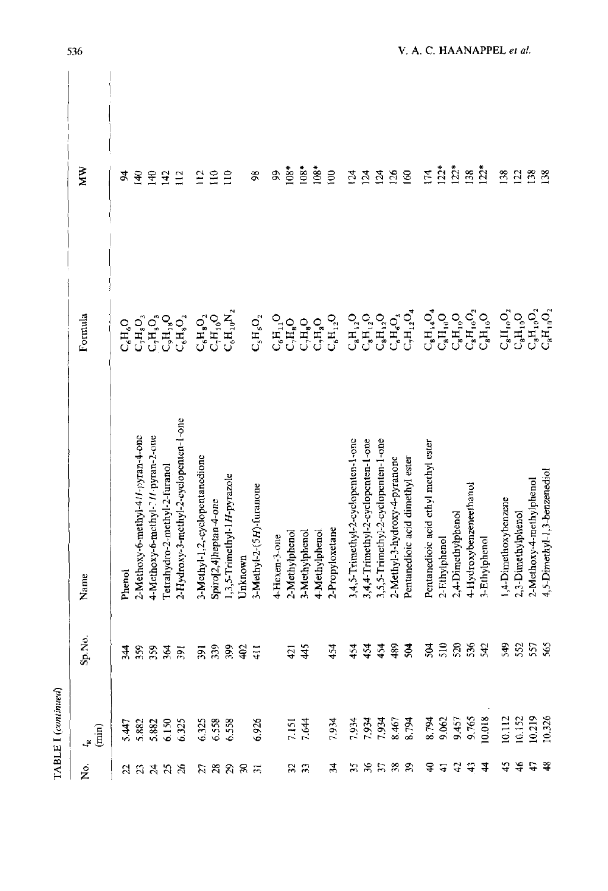|               | TABLE I (continued)                                      |                               |                                        |                                                                   |                 |  |
|---------------|----------------------------------------------------------|-------------------------------|----------------------------------------|-------------------------------------------------------------------|-----------------|--|
| 2.            | $\begin{pmatrix} \mathbf{m} \\ \mathbf{m} \end{pmatrix}$ | Ź.<br>S.                      | Name                                   | Formula                                                           | ЙM              |  |
|               |                                                          |                               |                                        |                                                                   |                 |  |
|               |                                                          | \$                            | Phenol                                 | $C_6H_6O$                                                         | 24              |  |
|               |                                                          |                               | 2-Methoxy-6-methyl-4//-pyran-4-onc     | $C_7H_8O_3$                                                       | $\mathbf{F}$    |  |
|               | 5.447<br>5.882<br>5.882                                  | ಜಜಿತ ಸ<br>က်က်က်က             | 4-Methoxy-6-methyl-7/1 pyran-2-one     | $\mathsf{C}_7\mathsf{H}_{8}\mathsf{O}_3$                          | $\frac{4}{3}$   |  |
|               |                                                          |                               | Tetrahydro-2-methyl-2-furanol          | $C_9H_{18}O$                                                      | $\overline{42}$ |  |
| 23333         | 6.150<br>6.325                                           |                               | 2-Hydroxy-3-methyl-2-cyclopenten-1-one | $C_6H_8O_2$                                                       | 112             |  |
|               |                                                          | ã                             | 3-Methyl-1,2,-cyclopentanedione        | $\mathbf{C_6H_8O_2}$                                              | $\tilde{=}$     |  |
| $R$ គឺ គឺ គឺ  | 6.325<br>6.538<br>6.538                                  | $\mathfrak{D}$<br>$m \cdot m$ | Spiro[2,4]heptan-4-one                 | $C_1H_1O$                                                         | $\Xi$           |  |
|               |                                                          | S,                            | 1,3,5-Trimethyl-1H-pyrazole            | $\mathrm{C_{6}H_{10}N_{2}}$                                       | $\Xi$           |  |
|               |                                                          | 402                           | Unknown                                |                                                                   |                 |  |
|               | 6.926                                                    | Ξ<br>$\overline{4}$           | 3-Methyl-2-(5H)-furanone               | $\mathbf{C}_\mathrm{s}\mathbf{H}_\mathrm{6}\mathbf{O}_\mathrm{2}$ | $\frac{8}{2}$   |  |
|               |                                                          |                               | 4-Hexen-3-one                          | $\mathbf{C_6H_1O}$                                                | \$              |  |
|               |                                                          | 421                           | 2-Methylphenol                         | $\mathbf{C}_\gamma\mathbf{H}_\mathbf{8}\mathbf{O}$                | $108*$          |  |
| ន ន           | 7.151<br>7.644                                           | 45                            | 3-Methylphenol                         | $C_2H_8O$                                                         | $108*$          |  |
|               |                                                          |                               | 4-Methylphenol                         | $C_2H_8O$                                                         | $108*$          |  |
| ž.            | 7.934                                                    | $\ddot{2}$                    | 2-Propyloxetane                        | $\mathbf{C_6H_{12}O}$                                             | 100             |  |
|               |                                                          | $\ddot{2}$                    | 3,4,5-Trimethyl-2-cyclopenten-1-one    | $\mathrm{C_{s}H_{12}O}$                                           | 124             |  |
|               |                                                          |                               | 3,4,4-Trimethyl-2-cyclopenten-1-one    | $\mathrm{C_{s}H_{12}O}$                                           | 124             |  |
| 55589         | 561.8<br>1978<br>1978<br>1978                            | 54                            | 3,5,5-Trimethyl-2-cyclopenten-1-one    | $C_8H_{12}O$                                                      | 124             |  |
|               |                                                          | 89                            | 2-Methyl-3-hydroxy-4-pyranone          | $C_6H_6O_3$                                                       | 126             |  |
|               |                                                          | 504                           | Pentanedioic acid dimethyl ester       | $\mathrm{C_{1}H_{12}O_{4}}$                                       | 60              |  |
| ੩             |                                                          | 504                           | Pentanedioic acid ethyl methyl ester   | $C_8H_{14}O_4$                                                    | 174             |  |
| ਚ             | 8.794<br>9.062                                           |                               | 2-Fithylphenol                         | $\mathrm{C_{8}H_{10}O}$                                           | $122*$          |  |
| $\ddot{ }$    | 9.457                                                    |                               | 2,4-Dimethylphenol                     | $C_8H_{10}O$                                                      | $122*$          |  |
| $\theta$      | 9.765                                                    | <u>ិនន័</u> ង                 | 4-Hydroxybenzeneethanol                | $\mathbf{C_8H_{10}O_2}$                                           | 138             |  |
| $\frac{4}{3}$ | 10.018                                                   |                               | 3-Ethylphenol                          | $C_8H_{10}O$                                                      | $122*$          |  |
| 45            | 10.112                                                   | 549                           | 1,4-Dimethoxybenzene                   | $C_8H_{10}O_2$                                                    | 138             |  |
| $\frac{4}{5}$ | 10.152                                                   | 552                           | 2,3-Dimethylphenol                     | $\mathrm{C_{8}H_{10}O}$                                           | 122             |  |
| t,            | 10.219                                                   | 557                           | 2-Methoxy-4-methylphenol               | $\mathrm{C_{8}H_{10}O_{2}}$                                       | 138             |  |
| ఞ             | 10,326                                                   | 565                           | 4,5-Dimethyl-1,3-benzenediol           | $\mathrm{C_{s}H_{10}O_{2}}$                                       | $^{138}$        |  |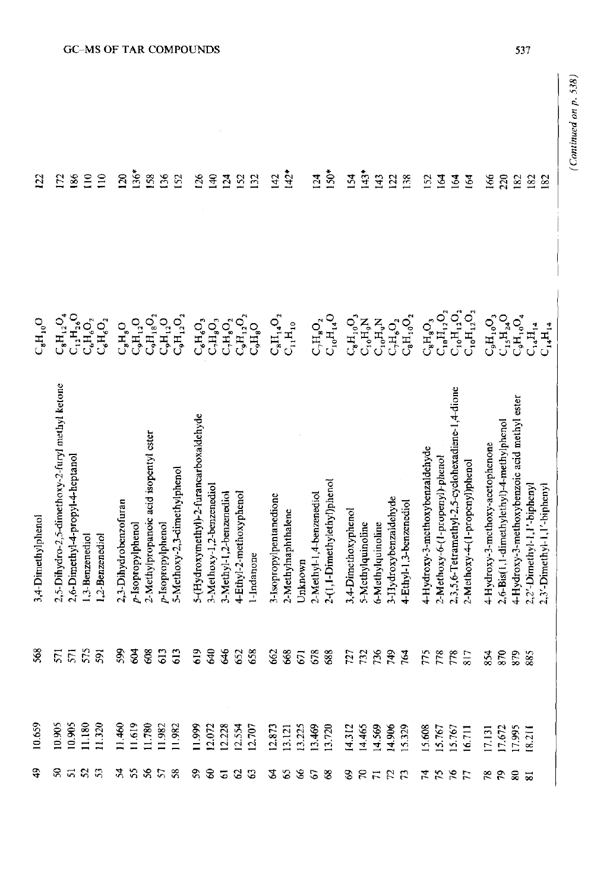| $\overline{2}$         | $\overline{5}$                                  | 186                                                                                   | $\Xi$          | $\Xi$           | $\mathbb{S}$          | $136*$                | 158                                            | 56                      | 152                          | $\overline{26}$                                | $\Xi$                     | 124                      |                         | $\frac{52}{132}$ | 142                                            | $142*$              |         | 124                        | $150*$                      | 154                     | $143*$            | 143                                                                                                         | 122                    | 138                         | 152                             | 164                                  | 164                                              | 164                            | 166                                 | 220                                        | 182                                          | 182                             | 182                         |
|------------------------|-------------------------------------------------|---------------------------------------------------------------------------------------|----------------|-----------------|-----------------------|-----------------------|------------------------------------------------|-------------------------|------------------------------|------------------------------------------------|---------------------------|--------------------------|-------------------------|------------------|------------------------------------------------|---------------------|---------|----------------------------|-----------------------------|-------------------------|-------------------|-------------------------------------------------------------------------------------------------------------|------------------------|-----------------------------|---------------------------------|--------------------------------------|--------------------------------------------------|--------------------------------|-------------------------------------|--------------------------------------------|----------------------------------------------|---------------------------------|-----------------------------|
| $C_{\rm e}H_{\rm 10}O$ |                                                 | $\mathbf{C}_\mathrm{sH_{12}O_4}^\mathrm{H_{12}O_4}$ C <sub>12</sub> H <sub>26</sub> O | $C_6H_6O_2$    | $C_6H_6O_2$     | $C_{8}H_{8}O$         | $\mathrm{C_9H_{12}O}$ | $\mathsf{C}_9\mathsf{H}_{18}\mathsf{O}_2$      | $\mathrm{C_{sH_{12}O}}$ | $C_9H_{12}O_2$               | $\mathsf{C}_6\mathsf{H}_6\mathsf{O}_3$         | $C_2H_3O_3$               | $\mathrm{C_7H_8O_2}$     | $\mathrm{C_9H_{12}O_2}$ | $C_{9}H_{8}O$    | $\mathrm{C_{s}H_{14}O_{2}}$                    | $C_{i,1}H_{10}$     |         | $\mathrm{C_{1}H_{8}O_{2}}$ | $C_{10}H_{14}O$             | $\mathbf{C_8H_{10}O_3}$ |                   | Z<br>C <sub>19</sub> H <sub>9</sub> C<br>C <sub>1</sub> H <sub>9</sub> C<br>C <sub>1H9</sub> O <sub>2</sub> |                        | $\mathrm{C_{8}H_{10}O_{2}}$ | $\mathrm{C_{8}H_{8}O_{3}}$      | $C_{10}H_{12}O_2$                    | $\mathbf{C}_{10}\mathbf{H}_{12}\mathbf{O}_{2}$   | $C_{10}H_{12}O_2$              | $C_9H_{10}O_3$                      | $\mathbf{C}_{15}\mathbf{H}_{24}\mathbf{O}$ | $C_9H_{10}O_4$                               | $C_{\mathbf{4}}H_{\mathbf{14}}$ | $C_{14}H_{14}$              |
| 3,4-Dimethylphenol     | 2,5-Dihydro-2,5-dimethoxy-2-furyl methyl ketone | 2,6-Dimethyl-4-propyl-4-heptanol                                                      | .3-Benzenediol | 1.2-Benzenediol | 2,3-Dihydrobenzofuran | p-Isopropylphenol     | 2-Methylpropanoic acid isopentyl ester         | p-Isopropylphenol       | 5-Methoxy-2,3-dimethylphenol | 5-(Hydroxymethyl)-2-furancarboxaldehyde        | 3-Methoxy-1,2-benzenediol | 3-Methyl-1,2-benzenediol | 4-Ethyl-2-methoxyphenol | l-Indanone       | 3-Isopropylpentanedione                        | 2-Methylnaphthalene | Unknown | 2-Methyl-1,4-benzenediol   | 2-(1,1-Dimethylethyl)phenol | 3,4-Dimethoxyphenol     | 5-Methylquinoline | 6-Methylquinoline                                                                                           | 3-IIydroxybenzaldehyde | 4-Ethyl-1,3-benzenediol     | 4-Hydroxy-3-methoxybenzaldehyde | 2-Methoxy-6-(1-propenyl)-phenol      | 2,3,5,6-Tetramethyl-2,5-cyclohexadiene-1,4-dione | 2-Methoxy-4-(1-proponyl)phenol | 4-Hydroxy-3-methoxy-acetophenone    | 2,6-Bis(1,1-dimethylethyl)-4-methylphenol  | 4-Hydroxy-3-methoxybenzoic acid methyl ester | 2,2'-Dimethyl-1,1'-biphenyl     | 2,3'-Dimethyl-1,1'-biphenyl |
| 568                    | 571                                             | 571                                                                                   | 575            | 591             | 599                   | डू                    | සි                                             | 613                     | 613                          | 619                                            | З                         | \$                       | 652                     | 658              | 662                                            | 668                 | 671     | 678                        | 688                         | 727                     | 732               | 736                                                                                                         | 949                    | 764                         | 775                             | 778                                  | 778                                              | $\overline{8}$ 17              | 854                                 | 870                                        | 879                                          | 885                             |                             |
| 10.659                 | 10.905                                          | 10.905                                                                                | 11.180         | 11.320          |                       |                       | 11.460<br>11.619<br>11.780<br>11.982<br>11.982 |                         |                              | 11.999<br>12.072<br>12.528<br>12.707<br>12.707 |                           |                          |                         |                  | 12.873<br>13.121<br>13.225<br>13.469<br>13.720 |                     |         |                            |                             | 14.312<br>14.465        |                   | 14.569<br>14.906<br>15.329                                                                                  |                        |                             |                                 | 15.608<br>15.767<br>15.767<br>16.711 |                                                  |                                | 17.131<br>17.672<br>17.995<br>8.211 |                                            |                                              |                                 |                             |
| \$                     | ន ដ ន ន                                         |                                                                                       |                |                 | *****                 |                       |                                                |                         |                              | <b>REEBB</b>                                   |                           |                          |                         |                  | 28828                                          |                     |         |                            |                             | うところ                    |                   |                                                                                                             |                        |                             |                                 | はななに                                 |                                                  |                                | <b>2223</b>                         |                                            |                                              |                                 |                             |

*(Continued on p. 538)* 

(Continued on  $p. 538$ )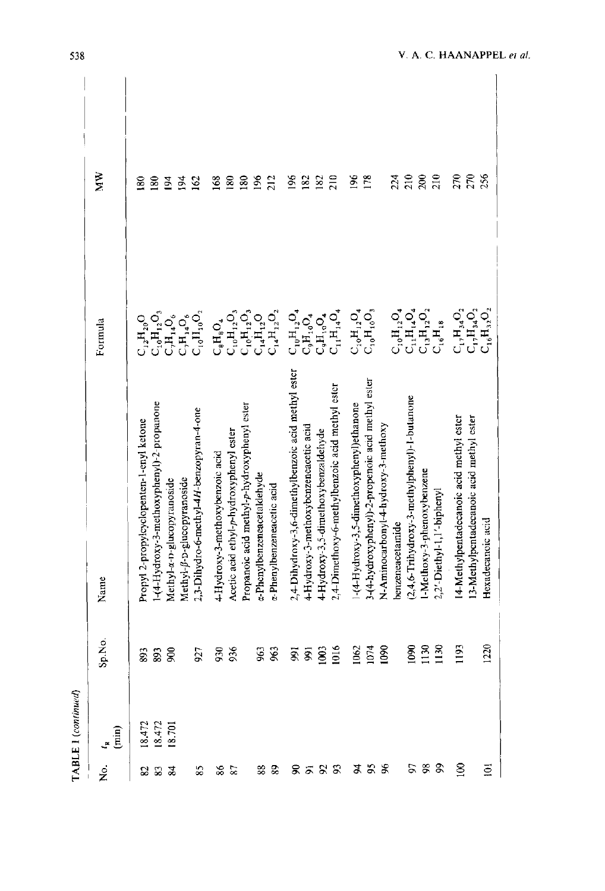| p<br>ŗ |
|--------|
|        |
| ţ      |
|        |
|        |

| 210<br>210<br>270<br>270<br>256<br>196<br>178<br>200<br>196<br>182<br>182<br>210<br>24<br>168<br>180<br>180<br>$\frac{8}{6}$<br>212<br>80<br>$\tilde{a}$<br>162<br>≋<br>질<br>$\mathbf{C_1}, \mathbf{H_3}, \mathbf{O_2}$ $\mathbf{C_1}, \mathbf{H_3}, \mathbf{O_2}$<br>$C_{10}H_{12}O_4$<br>$C_{11}H_{14}O_4$<br>$C_{10}H_{12}O_4$<br>$C_{13}H_{12}O_2$<br>$C_{10}H_{12}O_4$<br>$C_{11}H_{14}O_4$<br>$\mathrm{C_{10}H_{10}O_{3}}$<br>$C_{10}H_{12}O_3$<br>$\mathbb{C}_{10}H_{12}\mathbb{O}_3$<br>$C_{14}H_{12}O_2$<br>$\mathrm{C_{16}H_{32}O_2}$<br>$C_{10}H_{12}O_3$<br>$\mathsf{C}_{10}\mathsf{H}_{10}\mathsf{O}_2$<br>$\mathbb{C}_9\mathrm{H}_{10}\mathrm{O}_4$<br>$C_7H_{14}O_6$<br>$\mathsf{C}_r\mathsf{H}_{14}\mathsf{O}_6$<br>$C_{14}H_{12}O$<br>$\mathrm{C_{9}H_{10}O_{4}}$<br>$\mathbf{C_{12}H_{20}O}$<br>$\mathsf{C}_8\mathsf{H}_8\mathsf{O}_4$<br>Formula<br>$C_{16}H_{18}$<br>2,4-Dihydroxy-3,6-dimethylbenzoic acid methyl ester<br>3-(4-hydroxyphenyl)-2-propenoic acid methyl ester<br>2,4-Dimethoxy-6-methylbenzoic acid methyl ester<br>(2,4,6-Trihydroxy-3-methylphenyl)-1-butanone<br>-(4-Hydroxy-3-methoxyphenyl)-2-propanone<br>Propanoic acid methyl-p-hydroxyphenyl ester<br>1-(4-Hydroxy-3,5-dimethoxyphenyl)ethanone<br>2,3-Dihydro-6-methyl-4H-benzopyran-4-one<br>14-Methylpentadecanoic acid methyl ester<br>13-Methylpentadecanoic acid methyl ester<br>Propyl 2-propylcyclopenten-1-enyl ketone<br>4-Hydroxy-3-methoxybonzeneacetic acid<br>N-Aminocarbonyl-4-hydroxy-3-methoxy<br>Acetic acid ethyl-p-hydroxyphenyl ester<br>4-Hydroxy-3,5-dimethoxybenzaldehyde<br>4-Hydroxy-3-methoxybenzoic acid<br>1-Methoxy-3-phenoxybenzene<br><i>a</i> -Phenylbenzeneacetaldehyde<br>Methyl-ß-D-glucopyranoside<br>Methyl-a-n-glucopyranoside<br>x-Phenylbenzeneacetic acid<br>2,2'-Diethyl-1,1'-biphenyl<br>Hexadecanoic acid<br>benzeneacetamide<br>Name<br>ż<br>$0000$<br>$00130$<br>$0130$<br>1220<br>1062<br>1074<br>1090<br>5<br><b>99 S</b><br>936<br>963<br>963<br>88820<br>927<br>ŠP.<br>18.472<br>18.701<br>18.472 |                      | TABLE 1 (continued) |  |   |
|---------------------------------------------------------------------------------------------------------------------------------------------------------------------------------------------------------------------------------------------------------------------------------------------------------------------------------------------------------------------------------------------------------------------------------------------------------------------------------------------------------------------------------------------------------------------------------------------------------------------------------------------------------------------------------------------------------------------------------------------------------------------------------------------------------------------------------------------------------------------------------------------------------------------------------------------------------------------------------------------------------------------------------------------------------------------------------------------------------------------------------------------------------------------------------------------------------------------------------------------------------------------------------------------------------------------------------------------------------------------------------------------------------------------------------------------------------------------------------------------------------------------------------------------------------------------------------------------------------------------------------------------------------------------------------------------------------------------------------------------------------------------------------------------------------------------------------------------------------------------------------------------------------------------------------------------------------------------------------------------------------------------------------------------------|----------------------|---------------------|--|---|
|                                                                                                                                                                                                                                                                                                                                                                                                                                                                                                                                                                                                                                                                                                                                                                                                                                                                                                                                                                                                                                                                                                                                                                                                                                                                                                                                                                                                                                                                                                                                                                                                                                                                                                                                                                                                                                                                                                                                                                                                                                                   | $\binom{1}{m}$<br>Ľ. |                     |  | Ř |
|                                                                                                                                                                                                                                                                                                                                                                                                                                                                                                                                                                                                                                                                                                                                                                                                                                                                                                                                                                                                                                                                                                                                                                                                                                                                                                                                                                                                                                                                                                                                                                                                                                                                                                                                                                                                                                                                                                                                                                                                                                                   |                      |                     |  |   |
|                                                                                                                                                                                                                                                                                                                                                                                                                                                                                                                                                                                                                                                                                                                                                                                                                                                                                                                                                                                                                                                                                                                                                                                                                                                                                                                                                                                                                                                                                                                                                                                                                                                                                                                                                                                                                                                                                                                                                                                                                                                   |                      |                     |  |   |
|                                                                                                                                                                                                                                                                                                                                                                                                                                                                                                                                                                                                                                                                                                                                                                                                                                                                                                                                                                                                                                                                                                                                                                                                                                                                                                                                                                                                                                                                                                                                                                                                                                                                                                                                                                                                                                                                                                                                                                                                                                                   |                      |                     |  |   |
|                                                                                                                                                                                                                                                                                                                                                                                                                                                                                                                                                                                                                                                                                                                                                                                                                                                                                                                                                                                                                                                                                                                                                                                                                                                                                                                                                                                                                                                                                                                                                                                                                                                                                                                                                                                                                                                                                                                                                                                                                                                   |                      |                     |  |   |
|                                                                                                                                                                                                                                                                                                                                                                                                                                                                                                                                                                                                                                                                                                                                                                                                                                                                                                                                                                                                                                                                                                                                                                                                                                                                                                                                                                                                                                                                                                                                                                                                                                                                                                                                                                                                                                                                                                                                                                                                                                                   |                      |                     |  |   |
|                                                                                                                                                                                                                                                                                                                                                                                                                                                                                                                                                                                                                                                                                                                                                                                                                                                                                                                                                                                                                                                                                                                                                                                                                                                                                                                                                                                                                                                                                                                                                                                                                                                                                                                                                                                                                                                                                                                                                                                                                                                   |                      |                     |  |   |
|                                                                                                                                                                                                                                                                                                                                                                                                                                                                                                                                                                                                                                                                                                                                                                                                                                                                                                                                                                                                                                                                                                                                                                                                                                                                                                                                                                                                                                                                                                                                                                                                                                                                                                                                                                                                                                                                                                                                                                                                                                                   |                      |                     |  |   |
|                                                                                                                                                                                                                                                                                                                                                                                                                                                                                                                                                                                                                                                                                                                                                                                                                                                                                                                                                                                                                                                                                                                                                                                                                                                                                                                                                                                                                                                                                                                                                                                                                                                                                                                                                                                                                                                                                                                                                                                                                                                   |                      |                     |  |   |
|                                                                                                                                                                                                                                                                                                                                                                                                                                                                                                                                                                                                                                                                                                                                                                                                                                                                                                                                                                                                                                                                                                                                                                                                                                                                                                                                                                                                                                                                                                                                                                                                                                                                                                                                                                                                                                                                                                                                                                                                                                                   |                      |                     |  |   |
|                                                                                                                                                                                                                                                                                                                                                                                                                                                                                                                                                                                                                                                                                                                                                                                                                                                                                                                                                                                                                                                                                                                                                                                                                                                                                                                                                                                                                                                                                                                                                                                                                                                                                                                                                                                                                                                                                                                                                                                                                                                   |                      |                     |  |   |
|                                                                                                                                                                                                                                                                                                                                                                                                                                                                                                                                                                                                                                                                                                                                                                                                                                                                                                                                                                                                                                                                                                                                                                                                                                                                                                                                                                                                                                                                                                                                                                                                                                                                                                                                                                                                                                                                                                                                                                                                                                                   |                      |                     |  |   |
|                                                                                                                                                                                                                                                                                                                                                                                                                                                                                                                                                                                                                                                                                                                                                                                                                                                                                                                                                                                                                                                                                                                                                                                                                                                                                                                                                                                                                                                                                                                                                                                                                                                                                                                                                                                                                                                                                                                                                                                                                                                   |                      |                     |  |   |
|                                                                                                                                                                                                                                                                                                                                                                                                                                                                                                                                                                                                                                                                                                                                                                                                                                                                                                                                                                                                                                                                                                                                                                                                                                                                                                                                                                                                                                                                                                                                                                                                                                                                                                                                                                                                                                                                                                                                                                                                                                                   |                      |                     |  |   |
|                                                                                                                                                                                                                                                                                                                                                                                                                                                                                                                                                                                                                                                                                                                                                                                                                                                                                                                                                                                                                                                                                                                                                                                                                                                                                                                                                                                                                                                                                                                                                                                                                                                                                                                                                                                                                                                                                                                                                                                                                                                   |                      |                     |  |   |
|                                                                                                                                                                                                                                                                                                                                                                                                                                                                                                                                                                                                                                                                                                                                                                                                                                                                                                                                                                                                                                                                                                                                                                                                                                                                                                                                                                                                                                                                                                                                                                                                                                                                                                                                                                                                                                                                                                                                                                                                                                                   |                      |                     |  |   |
|                                                                                                                                                                                                                                                                                                                                                                                                                                                                                                                                                                                                                                                                                                                                                                                                                                                                                                                                                                                                                                                                                                                                                                                                                                                                                                                                                                                                                                                                                                                                                                                                                                                                                                                                                                                                                                                                                                                                                                                                                                                   |                      |                     |  |   |
|                                                                                                                                                                                                                                                                                                                                                                                                                                                                                                                                                                                                                                                                                                                                                                                                                                                                                                                                                                                                                                                                                                                                                                                                                                                                                                                                                                                                                                                                                                                                                                                                                                                                                                                                                                                                                                                                                                                                                                                                                                                   |                      |                     |  |   |
|                                                                                                                                                                                                                                                                                                                                                                                                                                                                                                                                                                                                                                                                                                                                                                                                                                                                                                                                                                                                                                                                                                                                                                                                                                                                                                                                                                                                                                                                                                                                                                                                                                                                                                                                                                                                                                                                                                                                                                                                                                                   |                      |                     |  |   |
|                                                                                                                                                                                                                                                                                                                                                                                                                                                                                                                                                                                                                                                                                                                                                                                                                                                                                                                                                                                                                                                                                                                                                                                                                                                                                                                                                                                                                                                                                                                                                                                                                                                                                                                                                                                                                                                                                                                                                                                                                                                   |                      |                     |  |   |
|                                                                                                                                                                                                                                                                                                                                                                                                                                                                                                                                                                                                                                                                                                                                                                                                                                                                                                                                                                                                                                                                                                                                                                                                                                                                                                                                                                                                                                                                                                                                                                                                                                                                                                                                                                                                                                                                                                                                                                                                                                                   |                      |                     |  |   |
|                                                                                                                                                                                                                                                                                                                                                                                                                                                                                                                                                                                                                                                                                                                                                                                                                                                                                                                                                                                                                                                                                                                                                                                                                                                                                                                                                                                                                                                                                                                                                                                                                                                                                                                                                                                                                                                                                                                                                                                                                                                   |                      |                     |  |   |
|                                                                                                                                                                                                                                                                                                                                                                                                                                                                                                                                                                                                                                                                                                                                                                                                                                                                                                                                                                                                                                                                                                                                                                                                                                                                                                                                                                                                                                                                                                                                                                                                                                                                                                                                                                                                                                                                                                                                                                                                                                                   |                      |                     |  |   |
|                                                                                                                                                                                                                                                                                                                                                                                                                                                                                                                                                                                                                                                                                                                                                                                                                                                                                                                                                                                                                                                                                                                                                                                                                                                                                                                                                                                                                                                                                                                                                                                                                                                                                                                                                                                                                                                                                                                                                                                                                                                   |                      |                     |  |   |
|                                                                                                                                                                                                                                                                                                                                                                                                                                                                                                                                                                                                                                                                                                                                                                                                                                                                                                                                                                                                                                                                                                                                                                                                                                                                                                                                                                                                                                                                                                                                                                                                                                                                                                                                                                                                                                                                                                                                                                                                                                                   |                      |                     |  |   |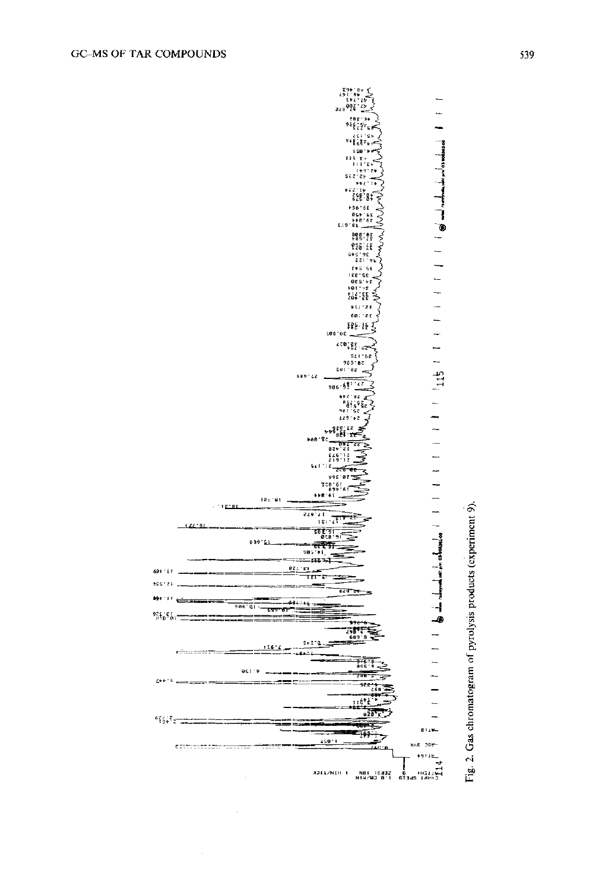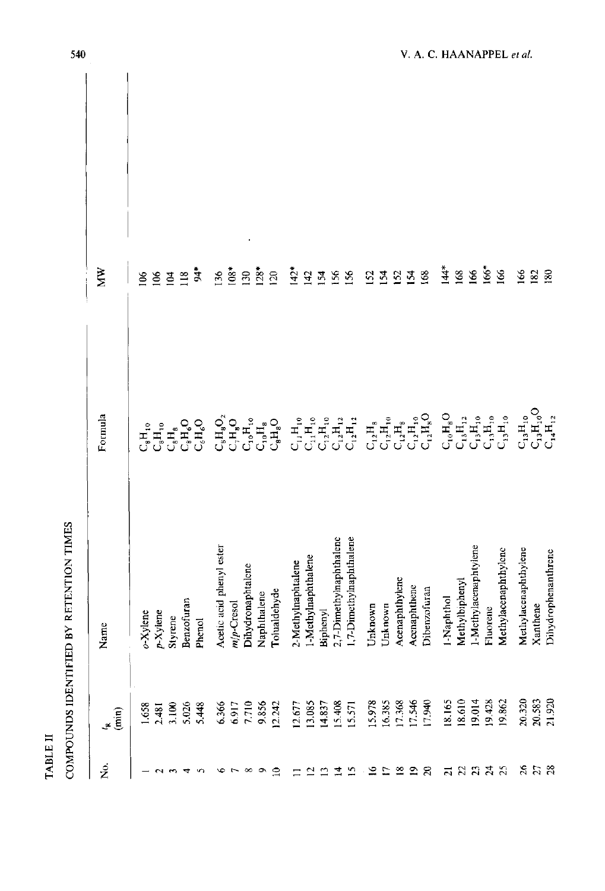|                      | COMPOUNDS IDENTIFIED                                                          | BY RETENTION TIMES       |                                                                                                                                                                                                                                                                                                                                      |                  |
|----------------------|-------------------------------------------------------------------------------|--------------------------|--------------------------------------------------------------------------------------------------------------------------------------------------------------------------------------------------------------------------------------------------------------------------------------------------------------------------------------|------------------|
| Ż.                   | $\binom{n}{k}$                                                                | Name                     | Formula                                                                                                                                                                                                                                                                                                                              | Ř                |
|                      |                                                                               | o-Xylene                 | ្ <sub>រូ</sub> H <sub>រេ</sub>                                                                                                                                                                                                                                                                                                      | 66               |
|                      | $1.658$<br>2.481                                                              | $p$ -Xylene              | $C_8H_{10}$                                                                                                                                                                                                                                                                                                                          | 106              |
|                      | 3.100                                                                         | Styrene                  | $L^2_{\rm s}$                                                                                                                                                                                                                                                                                                                        | $\overline{a}$   |
|                      | 5.026                                                                         | Benzofuran               | $C_{\rm c}^{\rm H}{_{\rm c}^{\rm O}}$                                                                                                                                                                                                                                                                                                | 118              |
| - YO                 | 5.448                                                                         | Phenol                   |                                                                                                                                                                                                                                                                                                                                      | $\frac{4}{3}$    |
|                      |                                                                               | Acetic acid phenyl ester |                                                                                                                                                                                                                                                                                                                                      | 136              |
|                      |                                                                               | $m/p$ -Cresol            |                                                                                                                                                                                                                                                                                                                                      | $108*$           |
| $\sim$ $\sim$ $\sim$ | 6.366<br>0.917<br>0.856<br>9.856                                              | Dihydronaphtalene        |                                                                                                                                                                                                                                                                                                                                      | 130              |
| $\Omega$             |                                                                               | Naphthalene              |                                                                                                                                                                                                                                                                                                                                      | $128*$           |
|                      | 12.242                                                                        | Tolualdehyde             | $\begin{array}{ccc} \mathbf{C}_\mathbf{s} & \mathbf{H}_\mathbf{s} & \mathbf{O}_\mathbf{s} \\ \mathbf{H}_\mathbf{s} & \mathbf{H}_\mathbf{s} & \mathbf{H}_\mathbf{s} \\ \mathbf{C}_\mathbf{s} & \mathbf{H}_\mathbf{s} & \mathbf{H}_\mathbf{s} \\ \mathbf{C}_\mathbf{s} & \mathbf{H}_\mathbf{s} & \mathbf{H}_\mathbf{s} \\ \end{array}$ | $\overline{20}$  |
| Ξ                    |                                                                               | 2-Methylnaphtalene       |                                                                                                                                                                                                                                                                                                                                      | $142*$           |
|                      | $\begin{array}{c} 12.677 \\ 13.085 \\ 14.837 \\ 15.408 \\ 15.571 \end{array}$ | 1-Methylnaphthalene      | $\begin{array}{cccc}\n\mathbf{d}_1 & \mathbf{d}_2 & \mathbf{d}_3 & \mathbf{d}_4 \\ \mathbf{d}_1 & \mathbf{d}_2 & \mathbf{d}_3 & \mathbf{d}_4 \\ \mathbf{d}_2 & \mathbf{d}_3 & \mathbf{d}_4 & \mathbf{d}_5 \\ \mathbf{d}_3 & \mathbf{d}_5 & \mathbf{d}_6 & \mathbf{d}_7\n\end{array}$                                                 | 142              |
| 2222                 |                                                                               | Biphenyl                 |                                                                                                                                                                                                                                                                                                                                      | 154              |
|                      |                                                                               | 2,7-Dimethylnaphthalene  |                                                                                                                                                                                                                                                                                                                                      | 56               |
|                      |                                                                               | 1,7-Dimethylnaphthalene  |                                                                                                                                                                                                                                                                                                                                      | 156              |
| - 21                 |                                                                               | Unknown                  |                                                                                                                                                                                                                                                                                                                                      | <b>S2</b>        |
|                      |                                                                               | Unknown                  | $\mathbf{C}_{12}\mathbf{H}_{_{\mathbf{10}}}$                                                                                                                                                                                                                                                                                         | $\mathbb{Z}$     |
|                      | 15.978<br>16.385<br>17.368<br>17.546<br>17.940                                | Acenaphthylene           | $\mathbf{C}_{12}\mathbf{H}_{10}$ $\mathbf{C}_{12}\mathbf{H}_{10}$ $\mathbf{C}_{12}\mathbf{H}_{\star}$                                                                                                                                                                                                                                | 52               |
| ≌ືລສ                 |                                                                               | Acenaphthene             |                                                                                                                                                                                                                                                                                                                                      | $\mathbb{R}$     |
|                      |                                                                               | Dibenzofuran             |                                                                                                                                                                                                                                                                                                                                      | 68               |
|                      |                                                                               | 1-Naphthol               |                                                                                                                                                                                                                                                                                                                                      | $\ddot{\vec{A}}$ |
|                      |                                                                               | Methylbiphenyl           |                                                                                                                                                                                                                                                                                                                                      | 168              |
| ដូនដូន               | 18.165<br>18.610<br>19.014                                                    | 1-Methylacenaphtylene    | $\begin{array}{c} \mathbf{C_1} \mathbf{H_1} \mathbf{D_2} \\ \mathbf{C_1} \mathbf{H_1} \mathbf{D_2} \\ \mathbf{C_1} \mathbf{H_2} \mathbf{H_3} \\ \mathbf{C_2} \mathbf{H_3} \mathbf{H_4} \end{array}$                                                                                                                                  | 166              |
|                      | 19.428<br>19.862                                                              | Fluorene                 |                                                                                                                                                                                                                                                                                                                                      | $166*$           |
|                      |                                                                               | Methylacenaphthylenc     | $\mathsf{C}_{13}\mathsf{H}_{10}$                                                                                                                                                                                                                                                                                                     | 166              |
|                      | 20.320                                                                        | Methylacenaphthylene     | $\mathbf{C_{13}H_{10}}$                                                                                                                                                                                                                                                                                                              | 166              |
| 35.8                 | 20.583<br>21.920                                                              | Xanthene                 | $\mathsf{C_1}_3\mathsf{H_1}_0\mathsf{O}$                                                                                                                                                                                                                                                                                             | 182              |
|                      |                                                                               | Dihydrophenanthrene      | $C_{14}H_{12}$                                                                                                                                                                                                                                                                                                                       | 180              |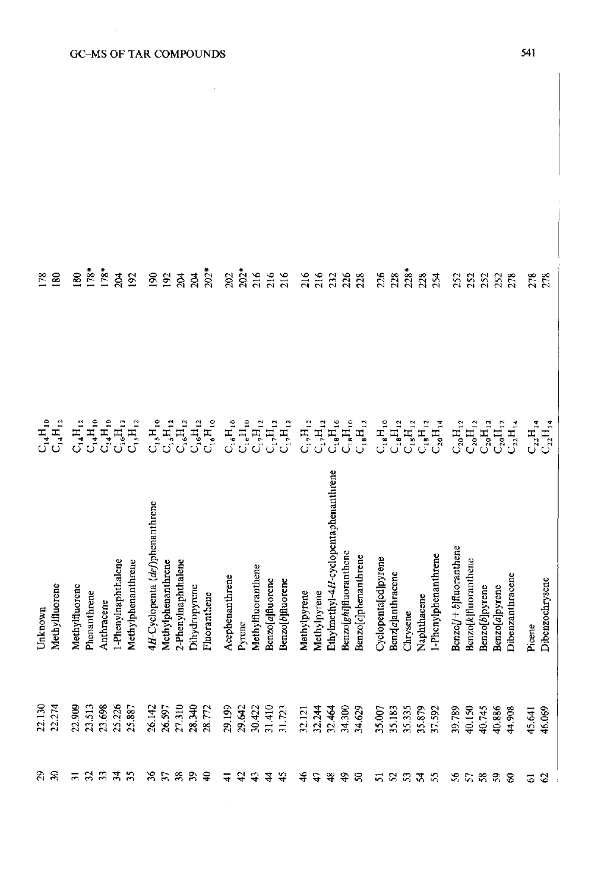| 178     | $\mathbf{8}$                           | 80             | $178*$       | $178*$     | 204                 | 192                                                                                                                                                                                                                                                                                                                                                                                                                                   | $\mathbf{8}$                    | 192                | 24                  | 204           | $202*$       | 202             | $202*$                                       | 216                             | 216                             | 216            | 216            | 216                            |                                       |                                                    | 338                              | 226                  | 228                      | $228*$                           | 228                     | 254                     | 252                                                |                      | 2223                                                                                                                                          |                       | 278                              | 278    | 278                                                               |
|---------|----------------------------------------|----------------|--------------|------------|---------------------|---------------------------------------------------------------------------------------------------------------------------------------------------------------------------------------------------------------------------------------------------------------------------------------------------------------------------------------------------------------------------------------------------------------------------------------|---------------------------------|--------------------|---------------------|---------------|--------------|-----------------|----------------------------------------------|---------------------------------|---------------------------------|----------------|----------------|--------------------------------|---------------------------------------|----------------------------------------------------|----------------------------------|----------------------|--------------------------|----------------------------------|-------------------------|-------------------------|----------------------------------------------------|----------------------|-----------------------------------------------------------------------------------------------------------------------------------------------|-----------------------|----------------------------------|--------|-------------------------------------------------------------------|
|         | $\mathbf{C}_\mathbf{1}\mathbf{H}_{12}$ |                |              |            |                     | $\begin{array}{cccccc} &\mathbf{1} & \mathbf{1} & \mathbf{1} & \mathbf{1} & \mathbf{1} & \mathbf{1} \\ \mathbf{1} & \mathbf{1} & \mathbf{1} & \mathbf{1} & \mathbf{1} & \mathbf{1} \\ \mathbf{1} & \mathbf{1} & \mathbf{1} & \mathbf{1} & \mathbf{1} & \mathbf{1} \\ \mathbf{1} & \mathbf{1} & \mathbf{1} & \mathbf{1} & \mathbf{1} & \mathbf{1} \\ \mathbf{1} & \mathbf{1} & \mathbf{1} & \mathbf{1} & \mathbf{1} & \mathbf{1} \\ \$ |                                 |                    |                     |               |              |                 | $\mathbf{C_{16}H_{10}^{}}\mathbf{H_{10}^{}}$ | $\mathbf{C}_1, \mathbf{H}_{12}$ | $\mathsf{C_1}, \mathsf{H_{12}}$ | $C_{17}H_{12}$ | $C_{17}H_{12}$ | $\mathsf{C}_1,\mathsf{H}_{12}$ | $\mathrm{C_{18}H_{16}}$               | $\mathsf{C}_{\mathsf{18}}\mathsf{H}_{\mathsf{10}}$ | $\mathbf{C_{18}}\mathbf{H}_{12}$ |                      | $\mathbf{C_3H_{12}^{6}}$ | $\mathbf{C_{18}}\mathbf{H}_{12}$ | $\mathbf{C_{18}H_{12}}$ | $\mathrm{C_{20}H_{14}}$ |                                                    |                      | $\mathcal{C}_2{}_{\mathbf{0}}\mathbf{H}_{12}$ , $\mathcal{C}_2{}_{\mathbf{0}}\mathbf{H}_{12}$ , $\mathcal{C}_2{}_{\mathbf{0}}\mathbf{H}_{12}$ | $\ddot{C}_{20}H_{12}$ | $\mathbf{C}_{22}\mathbf{H}_{14}$ |        | $\mathbf{C}_{22}\mathbf{H}_{14}$ $\mathbf{C}_{22}\mathbf{H}_{14}$ |
| Unknown | Methylfluorene                         | Methylfluorenc | Phenanthrene | Anthracene | 1-Phenylnaphthalene | Methylphenanthrene                                                                                                                                                                                                                                                                                                                                                                                                                    | 4H-Cyclopenta (def)phenanthrene | Methylphenanthrene | 2-Phenylnaphthalene | Dihydropyrene | Fluoranthene | Acephenanthrene | Pyrene                                       | Methylfluoranthene              | Benzo[a]fluorene                | BenzolbMuorene | Methylpyrene   | Methylpyrene                   | Ethylmethyl-4H-cyclopentaphenanthrene | Benzo[ghi]fluoranthene                             | Benzo[c]phenanthrene             | Cyclopenta[cd]pyrene | Benz[a]anthracene        | Chrysene                         | Naphthacene             | 1-Phenylphenanthrene    | $\text{Benzol}$ <i>j</i> + $b$ <i>fluoranthene</i> | Benzo[k]fluoranthene | Benzo[b]pyrene                                                                                                                                | Benzo[a]pyrenc        | <b>Dibenzanthracene</b>          | Picene | Dibenzochrysene                                                   |
| 22.130  | 22.274                                 | 22.909         | 23.513       | 23.698     | 25.226              | 25.887                                                                                                                                                                                                                                                                                                                                                                                                                                | 26.142                          | 26.597             | 27.310              | 28.340        | 28.772       | 29.199          | 29.642                                       | 30.422                          | 31.410                          | 31.723         | 32.121         | 32.244                         | 32.464                                | 34.300                                             | 34.629                           | 35.007               | 35.183                   | 35.335                           | 35.879                  | 37.592                  | 39.789                                             | 40.150               | 40.745                                                                                                                                        | 40.886                | 44.908                           | 45.641 | 46.069                                                            |
| ನಿ ನಿ   |                                        | $\overline{5}$ | 23           |            | $\mathbf{z}$        | 35                                                                                                                                                                                                                                                                                                                                                                                                                                    | 9ć                              | $\mathfrak{L}$     | 38                  | 39            | $\mathbf{Q}$ | ₹               | क्ष                                          |                                 | \$                              | 45             | ₹              | $\mathcal{L}$                  | ञ्                                    | $\ddot{ }$                                         | ຂ                                | 51                   |                          |                                  | $R$ a $X$ $R$           |                         |                                                    | \$58                 |                                                                                                                                               | 59                    | $\mathcal{S}$                    | 6      | $\mathcal{O}$                                                     |

## **GC-MS OF TAR COMPOUNDS**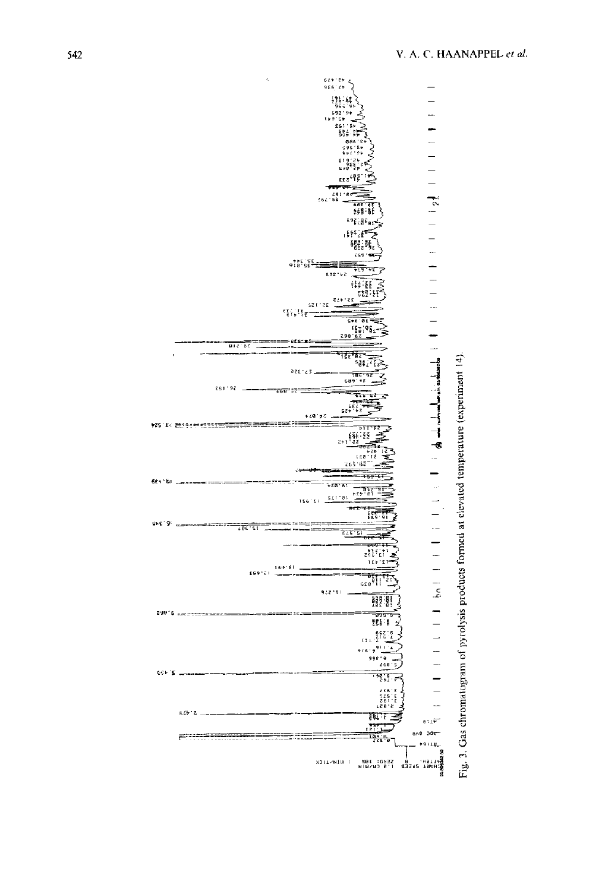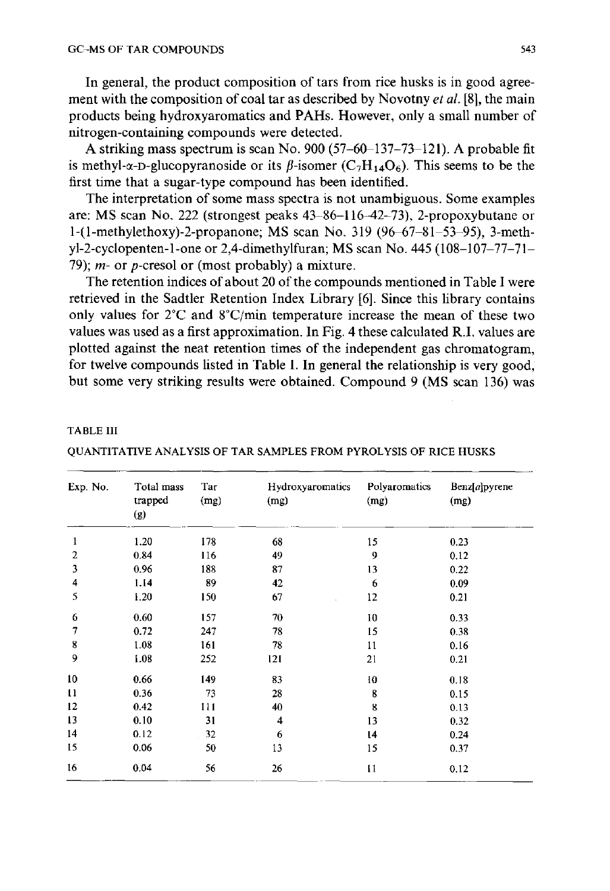**In general, the product composition of tars from rice husks is in good agreement with the composition of coal tar as described by Novotny** *et al.* **[8], the main products being hydroxyaromatics and PAHs. However, only a small number of nitrogen-containing compounds were detected.** 

**A striking mass spectrum is scan No. 900 (57-60-137-73-121). A probable fit**  is methyl- $\alpha$ -D-glucopyranoside or its  $\beta$ -isomer  $(C_7H_{14}O_6)$ . This seems to be the **first time that a sugar-type compound has been identified.** 

**The interpretation of some mass spectra is not unambiguous. Some examples are: MS scan No. 222 (strongest peaks 43-86-116-42-73), 2-propoxybutane or 1-(1-methylethoxy)-2-propanone; MS scan No. 319 (96-67-81-53-95), 3-methyl-2-cyclopenten-l-one or 2,4-dimethylfuran; MS scan No. 445 (108-107-77-71- 79); m- or p-cresol or (most probably) a mixture.** 

**The retention indices of about 20 of the compounds mentioned in Table I were retrieved in the Sadtler Retention Index Library [6]. Since this library contains only values for 2°C and 8°C/min temperature increase the mean of these two values was used as a first approximation. In Fig. 4 these calculated R.I. values are plotted against the neat retention times of the independent gas chromatogram, for twelve compounds listed in Table I. In general the relationship is very good, but some very striking results were obtained. Compound 9 (MS scan 136) was** 

#### TABLE III

| Exp. No.     | Total mass<br>trapped<br>(g) | Tar<br>(mg) | <b>Hydroxyaromatics</b><br>(mg) | Polyaromatics<br>(mg) | Benz[a]pyrene<br>(mg) |
|--------------|------------------------------|-------------|---------------------------------|-----------------------|-----------------------|
| 1            | 1.20                         | 178         | 68                              | 15                    | 0.23                  |
| 2            | 0.84                         | 116         | 49                              | 9                     | 0.12                  |
| 3            | 0.96                         | 188         | 87                              | 13                    | 0.22                  |
| 4            | 1.14                         | 89          | 42                              | 6                     | 0.09                  |
| 5            | 1.20                         | 150         | 67                              | 12                    | 0.21                  |
| 6            | 0.60                         | 157         | 70                              | 10                    | 0.33                  |
| 7            | 0.72                         | 247         | 78                              | 15                    | 0.38                  |
| 8            | 1.08                         | 161         | 78                              | 11                    | 0.16                  |
| 9            | 1.08                         | 252         | 121                             | 21                    | 0.21                  |
| 10           | 0.66                         | 149         | 83                              | 10                    | 0.18                  |
| $\mathbf{1}$ | 0.36                         | 73          | 28                              | 8                     | 0.15                  |
| 12           | 0.42                         | 111         | 40                              | 8                     | 0.13                  |
| 13           | 0.10                         | 31          | 4                               | 13                    | 0.32                  |
| 14           | 0.12                         | 32          | 6                               | 14                    | 0.24                  |
| 15           | 0.06                         | 50          | 13                              | 15                    | 0.37                  |
| 16           | 0.04                         | 56          | 26                              | 11                    | 0.12                  |

QUANTITATIVE ANALYSIS OF TAR SAMPLES FROM PYROLYSIS OF RICE HUSKS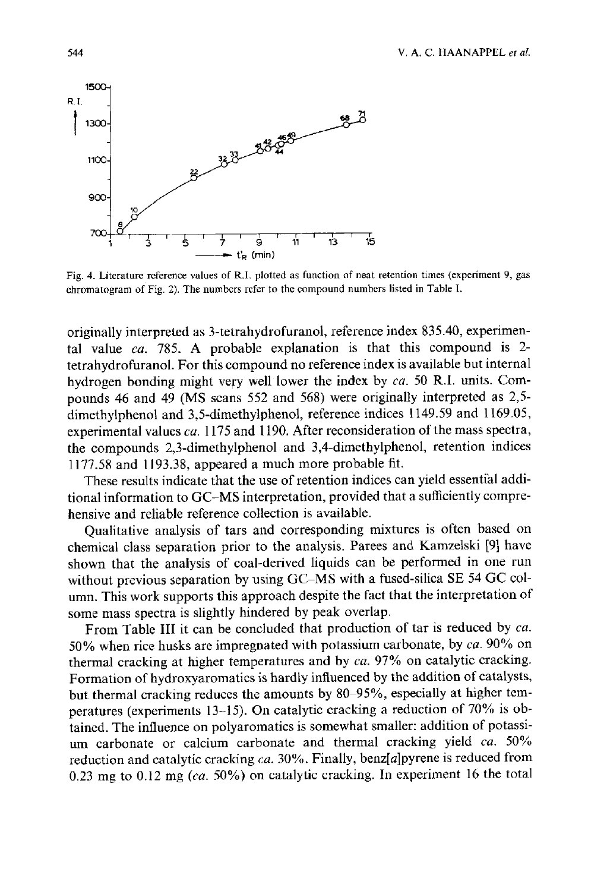

Fig. 4. Literature reference values of R.I. plotted as function of neat retention times (experiment 9, gas chromatogram of Fig. 2). The numbers refer to the compound numbers listed in Table I.

originally interpreted as 3-tetrahydrofuranol, reference index 835.40, experimental value *ca.* 785. A probable explanation is that this compound is 2 tetrahydrofuranol. For this compound no reference index is available but internal hydrogen bonding might very well lower the index by *ca.* 50 R.I. units. Compounds 46 and 49 (MS scans 552 and 568) were originally interpreted as 2,5 dimethylphenol and 3,5-dimethylphenol, reference indices 1149.59 and 1169.05, experimental values *ca.* 1175 and 1190. After reconsideration of the mass spectra, the compounds 2,3-dimethylphenol and 3,4-dimethylphenol, retention indices 1177.58 and 1193.38, appeared a much more probable fit.

These results indicate that the use of retention indices can yield essential additional information to GC-MS interpretation, provided that a sufficiently comprehensive and reliable reference collection is available.

Qualitative analysis of tars and corresponding mixtures is often based on chemical class separation prior to the analysis. Parees and Kamzelski [9] have shown that the analysis of coal-derived liquids can be performed in one run without previous separation by using GC-MS with a fused-silica SE 54 GC column. This work supports this approach despite the fact that the interpretation of some mass spectra is slightly hindered by peak overlap.

From Table III it can be concluded that production of tar is reduced by *ca.*  50% when rice husks are impregnated with potassium carbonate, by *ca.* 90% on thermal cracking at higher temperatures and by *ca.* 97% on catalytic cracking. Formation of hydroxyaromatics is hardly influenced by the addition of catalysts, but thermal cracking reduces the amounts by 80-95%, especially at higher temperatures (experiments 13-15). On catalytic cracking a reduction of 70% is obtained. The influence on polyaromatics is somewhat smaller: addition of potassium carbonate or calcium carbonate and thermal cracking yield *ca.* 50% reduction and catalytic cracking *ca.* 30%. Finally, benz[a]pyrene is reduced from 0.23 mg to 0.12 mg *(ca.* 50%) on catalytic cracking. In experiment 16 the total